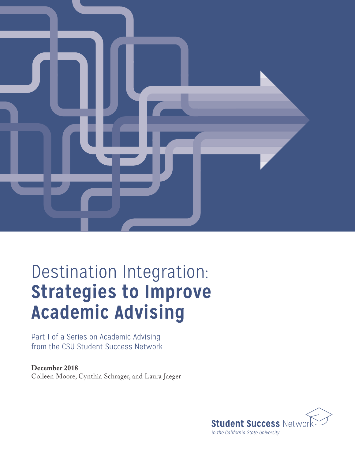

# Destination Integration: **Strategies to Improve Academic Advising**

Part 1 of a Series on Academic Advising from the CSU Student Success Network

**December 2018** Colleen Moore, Cynthia Schrager, and Laura Jaeger

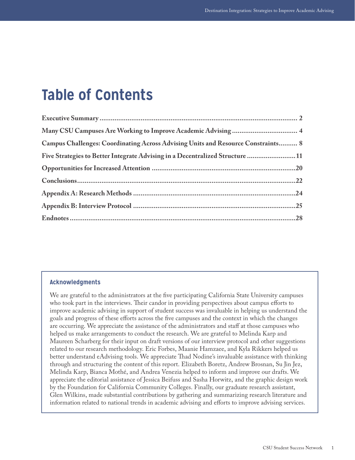# **Table of Contents**

| Many CSU Campuses Are Working to Improve Academic Advising  4                    |  |
|----------------------------------------------------------------------------------|--|
| Campus Challenges: Coordinating Across Advising Units and Resource Constraints 8 |  |
| Five Strategies to Better Integrate Advising in a Decentralized Structure 11     |  |
|                                                                                  |  |
| Conclusions. 22                                                                  |  |
|                                                                                  |  |
|                                                                                  |  |
|                                                                                  |  |

### **Acknowledgments**

We are grateful to the administrators at the five participating California State University campuses who took part in the interviews. Their candor in providing perspectives about campus efforts to improve academic advising in support of student success was invaluable in helping us understand the goals and progress of these efforts across the five campuses and the context in which the changes are occurring. We appreciate the assistance of the administrators and staff at those campuses who helped us make arrangements to conduct the research. We are grateful to Melinda Karp and Maureen Scharberg for their input on draft versions of our interview protocol and other suggestions related to our research methodology. Eric Forbes, Maanie Hamzaee, and Kyla Rikkers helped us better understand eAdvising tools. We appreciate Thad Nodine's invaluable assistance with thinking through and structuring the content of this report. Elizabeth Boretz, Andrew Brosnan, Su Jin Jez, Melinda Karp, Bianca Mothé, and Andrea Venezia helped to inform and improve our drafts. We appreciate the editorial assistance of Jessica Beifuss and Sasha Horwitz, and the graphic design work by the Foundation for California Community Colleges. Finally, our graduate research assistant, Glen Wilkins, made substantial contributions by gathering and summarizing research literature and information related to national trends in academic advising and efforts to improve advising services.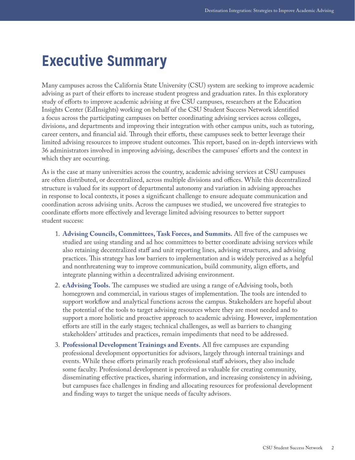## <span id="page-2-0"></span>**Executive Summary**

Many campuses across the California State University (CSU) system are seeking to improve academic advising as part of their efforts to increase student progress and graduation rates. In this exploratory study of efforts to improve academic advising at five CSU campuses, researchers at the Education Insights Center (EdInsights) working on behalf of the CSU Student Success Network identified a focus across the participating campuses on better coordinating advising services across colleges, divisions, and departments and improving their integration with other campus units, such as tutoring, career centers, and financial aid. Through their efforts, these campuses seek to better leverage their limited advising resources to improve student outcomes. This report, based on in-depth interviews with 36 administrators involved in improving advising, describes the campuses' efforts and the context in which they are occurring.

As is the case at many universities across the country, academic advising services at CSU campuses are often distributed, or decentralized, across multiple divisions and offices. While this decentralized structure is valued for its support of departmental autonomy and variation in advising approaches in response to local contexts, it poses a significant challenge to ensure adequate communication and coordination across advising units. Across the campuses we studied, we uncovered five strategies to coordinate efforts more effectively and leverage limited advising resources to better support student success:

- 1. **Advising Councils, Committees, Task Forces, and Summits.** All five of the campuses we studied are using standing and ad hoc committees to better coordinate advising services while also retaining decentralized staff and unit reporting lines, advising structures, and advising practices. This strategy has low barriers to implementation and is widely perceived as a helpful and nonthreatening way to improve communication, build community, align efforts, and integrate planning within a decentralized advising environment.
- 2. **eAdvising Tools.** The campuses we studied are using a range of eAdvising tools, both homegrown and commercial, in various stages of implementation. The tools are intended to support workflow and analytical functions across the campus. Stakeholders are hopeful about the potential of the tools to target advising resources where they are most needed and to support a more holistic and proactive approach to academic advising. However, implementation efforts are still in the early stages; technical challenges, as well as barriers to changing stakeholders' attitudes and practices, remain impediments that need to be addressed.
- 3. **Professional Development Trainings and Events.** All five campuses are expanding professional development opportunities for advisors, largely through internal trainings and events. While these efforts primarily reach professional staff advisors, they also include some faculty. Professional development is perceived as valuable for creating community, disseminating effective practices, sharing information, and increasing consistency in advising, but campuses face challenges in finding and allocating resources for professional development and finding ways to target the unique needs of faculty advisors.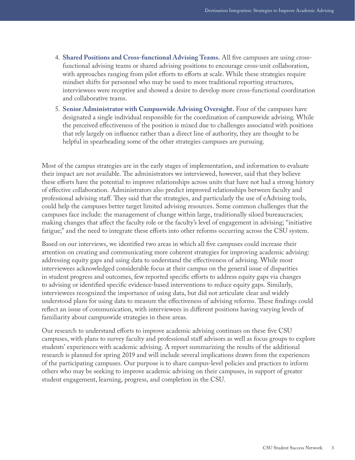- 4. **Shared Positions and Cross-functional Advising Teams.** All five campuses are using crossfunctional advising teams or shared advising positions to encourage cross-unit collaboration, with approaches ranging from pilot efforts to efforts at scale. While these strategies require mindset shifts for personnel who may be used to more traditional reporting structures, interviewees were receptive and showed a desire to develop more cross-functional coordination and collaborative teams.
- 5. **Senior Administrator with Campuswide Advising Oversight.** Four of the campuses have designated a single individual responsible for the coordination of campuswide advising. While the perceived effectiveness of the position is mixed due to challenges associated with positions that rely largely on influence rather than a direct line of authority, they are thought to be helpful in spearheading some of the other strategies campuses are pursuing.

Most of the campus strategies are in the early stages of implementation, and information to evaluate their impact are not available. The administrators we interviewed, however, said that they believe these efforts have the potential to improve relationships across units that have not had a strong history of effective collaboration. Administrators also predict improved relationships between faculty and professional advising staff. They said that the strategies, and particularly the use of eAdvising tools, could help the campuses better target limited advising resources. Some common challenges that the campuses face include: the management of change within large, traditionally siloed bureaucracies; making changes that affect the faculty role or the faculty's level of engagement in advising; "initiative fatigue;" and the need to integrate these efforts into other reforms occurring across the CSU system.

Based on our interviews, we identified two areas in which all five campuses could increase their attention on creating and communicating more coherent strategies for improving academic advising: addressing equity gaps and using data to understand the effectiveness of advising. While most interviewees acknowledged considerable focus at their campus on the general issue of disparities in student progress and outcomes, few reported specific efforts to address equity gaps via changes to advising or identified specific evidence-based interventions to reduce equity gaps. Similarly, interviewees recognized the importance of using data, but did not articulate clear and widely understood plans for using data to measure the effectiveness of advising reforms. These findings could reflect an issue of communication, with interviewees in different positions having varying levels of familiarity about campuswide strategies in these areas.

Our research to understand efforts to improve academic advising continues on these five CSU campuses, with plans to survey faculty and professional staff advisors as well as focus groups to explore students' experiences with academic advising. A report summarizing the results of the additional research is planned for spring 2019 and will include several implications drawn from the experiences of the participating campuses. Our purpose is to share campus-level policies and practices to inform others who may be seeking to improve academic advising on their campuses, in support of greater student engagement, learning, progress, and completion in the CSU.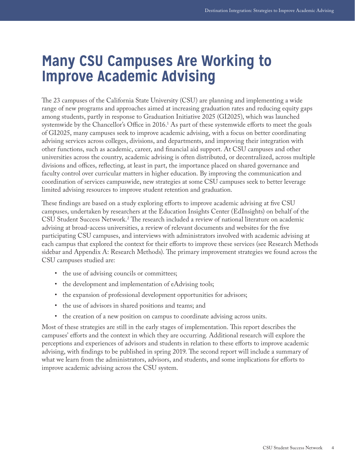## <span id="page-4-0"></span>**Many CSU Campuses Are Working to Improve Academic Advising**

The 23 campuses of the California State University (CSU) are planning and implementing a wide range of new programs and approaches aimed at increasing graduation rates and reducing equity gaps among students, partly in response to Graduation Initiative 2025 (GI2025), which was launched systemwide by the Chancellor's Office in 2016. $^1$  As part of these systemwide efforts to meet the goals of GI2025, many campuses seek to improve academic advising, with a focus on better coordinating advising services across colleges, divisions, and departments, and improving their integration with other functions, such as academic, career, and financial aid support. At CSU campuses and other universities across the country, academic advising is often distributed, or decentralized, across multiple divisions and offices, reflecting, at least in part, the importance placed on shared governance and faculty control over curricular matters in higher education. By improving the communication and coordination of services campuswide, new strategies at some CSU campuses seek to better leverage limited advising resources to improve student retention and graduation.

These findings are based on a study exploring efforts to improve academic advising at five CSU campuses, undertaken by researchers at the Education Insights Center (EdInsights) on behalf of the CSU Student Success Network[.2](#page-28-2) The research included a review of national literature on academic advising at broad-access universities, a review of relevant documents and websites for the five participating CSU campuses, and interviews with administrators involved with academic advising at each campus that explored the context for their efforts to improve these services (see Research Methods sidebar and Appendix A: Research Methods). The primary improvement strategies we found across the CSU campuses studied are:

- the use of advising councils or committees;
- the development and implementation of eAdvising tools;
- the expansion of professional development opportunities for advisors;
- the use of advisors in shared positions and teams; and
- the creation of a new position on campus to coordinate advising across units.

Most of these strategies are still in the early stages of implementation. This report describes the campuses' efforts and the context in which they are occurring. Additional research will explore the perceptions and experiences of advisors and students in relation to these efforts to improve academic advising, with findings to be published in spring 2019. The second report will include a summary of what we learn from the administrators, advisors, and students, and some implications for efforts to improve academic advising across the CSU system.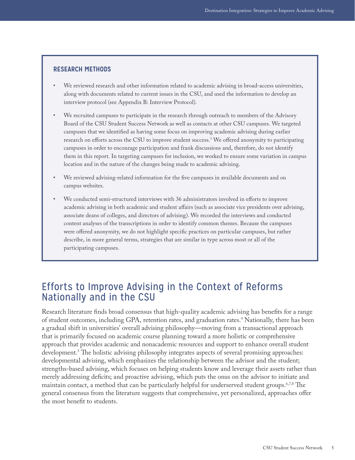### **RESEARCH METHODS**

- We reviewed research and other information related to academic advising in broad-access universities, along with documents related to current issues in the CSU, and used the information to develop an interview protocol (see Appendix B: Interview Protocol).
- We recruited campuses to participate in the research through outreach to members of the Advisory Board of the CSU Student Success Network as well as contacts at other CSU campuses. We targeted campuses that we identified as having some focus on improving academic advising during earlier research on efforts across the CSU to improve student success.[3](#page-28-8) We offered anonymity to participating campuses in order to encourage participation and frank discussions and, therefore, do not identify them in this report. In targeting campuses for inclusion, we worked to ensure some variation in campus location and in the nature of the changes being made to academic advising.
- We reviewed advising-related information for the five campuses in available documents and on campus websites.
- We conducted semi-structured interviews with 36 administrators involved in efforts to improve academic advising in both academic and student affairs (such as associate vice presidents over advising, associate deans of colleges, and directors of advising). We recorded the interviews and conducted content analyses of the transcriptions in order to identify common themes. Because the campuses were offered anonymity, we do not highlight specific practices on particular campuses, but rather describe, in more general terms, strategies that are similar in type across most or all of the participating campuses.

### Efforts to Improve Advising in the Context of Reforms Nationally and in the CSU

Research literature finds broad consensus that high-quality academic advising has benefits for a range of student outcomes, including GPA, retention rates, and graduation rates.<sup>4</sup> Nationally, there has been a gradual shift in universities' overall advising philosophy—moving from a transactional approach that is primarily focused on academic course planning toward a more holistic or comprehensive approach that provides academic and nonacademic resources and support to enhance overall student development.[5](#page-28-4) The holistic advising philosophy integrates aspects of several promising approaches: developmental advising, which emphasizes the relationship between the advisor and the student; strengths-based advising, which focuses on helping students know and leverage their assets rather than merely addressing deficits; and proactive advising, which puts the onus on the advisor to initiate and maintain contact, a method that can be particularly helpful for underserved student groups[.6,](#page-28-5)[7,](#page-28-6)[8](#page-28-7) The general consensus from the literature suggests that comprehensive, yet personalized, approaches offer the most benefit to students.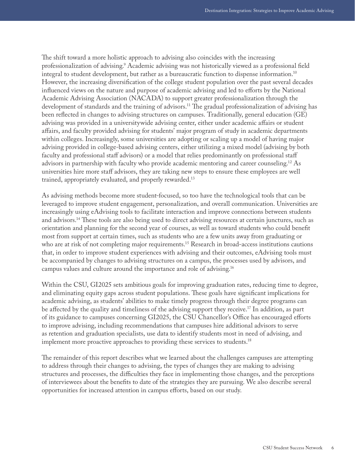The shift toward a more holistic approach to advising also coincides with the increasing professionalization of advising.<sup>[9](#page-28-9)</sup> Academic advising was not historically viewed as a professional field integral to student development, but rather as a bureaucratic function to dispense information[.10](#page-28-10) However, the increasing diversification of the college student population over the past several decades influenced views on the nature and purpose of academic advising and led to efforts by the National Academic Advising Association (NACADA) to support greater professionalization through the development of standards and the training of advisors.<sup>11</sup> The gradual professionalization of advising has been reflected in changes to advising structures on campuses. Traditionally, general education (GE) advising was provided in a universitywide advising center, either under academic affairs or student affairs, and faculty provided advising for students' major program of study in academic departments within colleges. Increasingly, some universities are adopting or scaling up a model of having major advising provided in college-based advising centers, either utilizing a mixed model (advising by both faculty and professional staff advisors) or a model that relies predominantly on professional staff advisors in partnership with faculty who provide academic mentoring and career counseling[.12](#page-28-12) As universities hire more staff advisors, they are taking new steps to ensure these employees are well trained, appropriately evaluated, and properly rewarded.<sup>13</sup>

As advising methods become more student-focused, so too have the technological tools that can be leveraged to improve student engagement, personalization, and overall communication. Universities are increasingly using eAdvising tools to facilitate interaction and improve connections between students and advisors.[14](#page-28-14) These tools are also being used to direct advising resources at certain junctures, such as orientation and planning for the second year of courses, as well as toward students who could benefit most from support at certain times, such as students who are a few units away from graduating or who are at risk of not completing major requirements.<sup>15</sup> Research in broad-access institutions cautions that, in order to improve student experiences with advising and their outcomes, eAdvising tools must be accompanied by changes to advising structures on a campus, the processes used by advisors, and campus values and culture around the importance and role of advising[.16](#page-29-1)

Within the CSU, GI2025 sets ambitious goals for improving graduation rates, reducing time to degree, and eliminating equity gaps across student populations. These goals have significant implications for academic advising, as students' abilities to make timely progress through their degree programs can be affected by the quality and timeliness of the advising support they receive.<sup>17</sup> In addition, as part of its guidance to campuses concerning GI2025, the CSU Chancellor's Office has encouraged efforts to improve advising, including recommendations that campuses hire additional advisors to serve as retention and graduation specialists, use data to identify students most in need of advising, and implement more proactive approaches to providing these services to students.<sup>18</sup>

The remainder of this report describes what we learned about the challenges campuses are attempting to address through their changes to advising, the types of changes they are making to advising structures and processes, the difficulties they face in implementing those changes, and the perceptions of interviewees about the benefits to date of the strategies they are pursuing. We also describe several opportunities for increased attention in campus efforts, based on our study.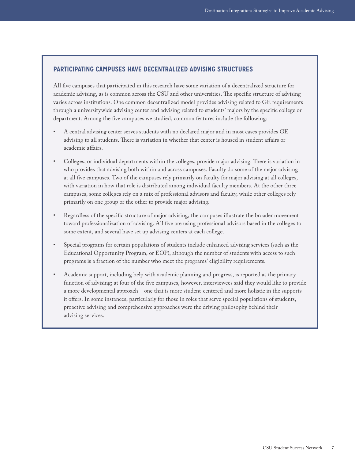#### **PARTICIPATING CAMPUSES HAVE DECENTRALIZED ADVISING STRUCTURES**

All five campuses that participated in this research have some variation of a decentralized structure for academic advising, as is common across the CSU and other universities. The specific structure of advising varies across institutions. One common decentralized model provides advising related to GE requirements through a universitywide advising center and advising related to students' majors by the specific college or department. Among the five campuses we studied, common features include the following:

- A central advising center serves students with no declared major and in most cases provides GE advising to all students. There is variation in whether that center is housed in student affairs or academic affairs.
- Colleges, or individual departments within the colleges, provide major advising. There is variation in who provides that advising both within and across campuses. Faculty do some of the major advising at all five campuses. Two of the campuses rely primarily on faculty for major advising at all colleges, with variation in how that role is distributed among individual faculty members. At the other three campuses, some colleges rely on a mix of professional advisors and faculty, while other colleges rely primarily on one group or the other to provide major advising.
- Regardless of the specific structure of major advising, the campuses illustrate the broader movement toward professionalization of advising. All five are using professional advisors based in the colleges to some extent, and several have set up advising centers at each college.
- Special programs for certain populations of students include enhanced advising services (such as the Educational Opportunity Program, or EOP), although the number of students with access to such programs is a fraction of the number who meet the programs' eligibility requirements.
- Academic support, including help with academic planning and progress, is reported as the primary function of advising; at four of the five campuses, however, interviewees said they would like to provide a more developmental approach—one that is more student-centered and more holistic in the supports it offers. In some instances, particularly for those in roles that serve special populations of students, proactive advising and comprehensive approaches were the driving philosophy behind their advising services.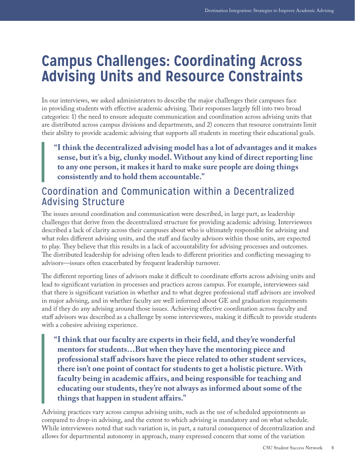## <span id="page-8-0"></span>**Campus Challenges: Coordinating Across Advising Units and Resource Constraints**

In our interviews, we asked administrators to describe the major challenges their campuses face in providing students with effective academic advising. Their responses largely fell into two broad categories: 1) the need to ensure adequate communication and coordination across advising units that are distributed across campus divisions and departments, and 2) concern that resource constraints limit their ability to provide academic advising that supports all students in meeting their educational goals.

**"I think the decentralized advising model has a lot of advantages and it makes sense, but it's a big, clunky model. Without any kind of direct reporting line to any one person, it makes it hard to make sure people are doing things consistently and to hold them accountable."**

## Coordination and Communication within a Decentralized Advising Structure

The issues around coordination and communication were described, in large part, as leadership challenges that derive from the decentralized structure for providing academic advising. Interviewees described a lack of clarity across their campuses about who is ultimately responsible for advising and what roles different advising units, and the staff and faculty advisors within those units, are expected to play. They believe that this results in a lack of accountability for advising processes and outcomes. The distributed leadership for advising often leads to different priorities and conflicting messaging to advisors—issues often exacerbated by frequent leadership turnover.

The different reporting lines of advisors make it difficult to coordinate efforts across advising units and lead to significant variation in processes and practices across campus. For example, interviewees said that there is significant variation in whether and to what degree professional staff advisors are involved in major advising, and in whether faculty are well informed about GE and graduation requirements and if they do any advising around those issues. Achieving effective coordination across faculty and staff advisors was described as a challenge by some interviewees, making it difficult to provide students with a cohesive advising experience.

**"I think that our faculty are experts in their field, and they're wonderful mentors for students…But when they have the mentoring piece and professional staff advisors have the piece related to other student services, there isn't one point of contact for students to get a holistic picture. With faculty being in academic affairs, and being responsible for teaching and educating our students, they're not always as informed about some of the things that happen in student affairs."**

Advising practices vary across campus advising units, such as the use of scheduled appointments as compared to drop-in advising, and the extent to which advising is mandatory and on what schedule. While interviewees noted that such variation is, in part, a natural consequence of decentralization and allows for departmental autonomy in approach, many expressed concern that some of the variation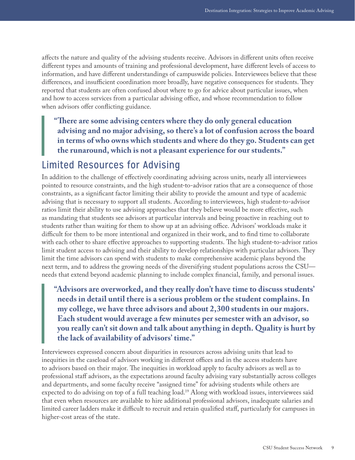affects the nature and quality of the advising students receive. Advisors in different units often receive different types and amounts of training and professional development, have different levels of access to information, and have different understandings of campuswide policies. Interviewees believe that these differences, and insufficient coordination more broadly, have negative consequences for students. They reported that students are often confused about where to go for advice about particular issues, when and how to access services from a particular advising office, and whose recommendation to follow when advisors offer conflicting guidance.

**"There are some advising centers where they do only general education advising and no major advising, so there's a lot of confusion across the board in terms of who owns which students and where do they go. Students can get the runaround, which is not a pleasant experience for our students."**

## Limited Resources for Advising

In addition to the challenge of effectively coordinating advising across units, nearly all interviewees pointed to resource constraints, and the high student-to-advisor ratios that are a consequence of those constraints, as a significant factor limiting their ability to provide the amount and type of academic advising that is necessary to support all students. According to interviewees, high student-to-advisor ratios limit their ability to use advising approaches that they believe would be more effective, such as mandating that students see advisors at particular intervals and being proactive in reaching out to students rather than waiting for them to show up at an advising office. Advisors' workloads make it difficult for them to be more intentional and organized in their work, and to find time to collaborate with each other to share effective approaches to supporting students. The high student-to-advisor ratios limit student access to advising and their ability to develop relationships with particular advisors. They limit the time advisors can spend with students to make comprehensive academic plans beyond the next term, and to address the growing needs of the diversifying student populations across the CSU needs that extend beyond academic planning to include complex financial, family, and personal issues.

**"Advisors are overworked, and they really don't have time to discuss students' needs in detail until there is a serious problem or the student complains. In my college, we have three advisors and about 2,300 students in our majors. Each student would average a few minutes per semester with an advisor, so you really can't sit down and talk about anything in depth. Quality is hurt by the lack of availability of advisors' time."**

Interviewees expressed concern about disparities in resources across advising units that lead to inequities in the caseload of advisors working in different offices and in the access students have to advisors based on their major. The inequities in workload apply to faculty advisors as well as to professional staff advisors, as the expectations around faculty advising vary substantially across colleges and departments, and some faculty receive "assigned time" for advising students while others are expected to do advising on top of a full teaching load.<sup>19</sup> Along with workload issues, interviewees said that even when resources are available to hire additional professional advisors, inadequate salaries and limited career ladders make it difficult to recruit and retain qualified staff, particularly for campuses in higher-cost areas of the state.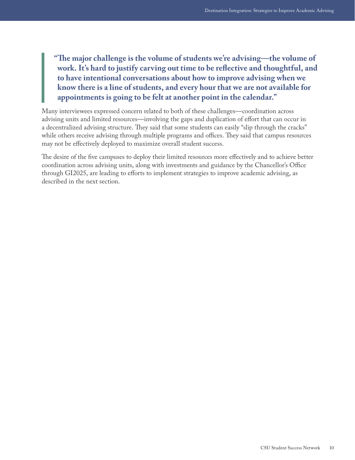**"The major challenge is the volume of students we're advising—the volume of work. It's hard to justify carving out time to be reflective and thoughtful, and to have intentional conversations about how to improve advising when we know there is a line of students, and every hour that we are not available for appointments is going to be felt at another point in the calendar."**

Many interviewees expressed concern related to both of these challenges—coordination across advising units and limited resources—involving the gaps and duplication of effort that can occur in a decentralized advising structure. They said that some students can easily "slip through the cracks" while others receive advising through multiple programs and offices. They said that campus resources may not be effectively deployed to maximize overall student success.

The desire of the five campuses to deploy their limited resources more effectively and to achieve better coordination across advising units, along with investments and guidance by the Chancellor's Office through GI2025, are leading to efforts to implement strategies to improve academic advising, as described in the next section.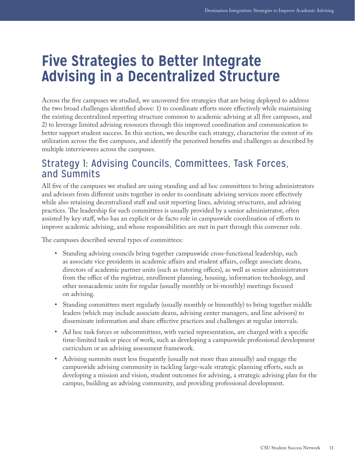## <span id="page-11-0"></span>**Five Strategies to Better Integrate Advising in a Decentralized Structure**

Across the five campuses we studied, we uncovered five strategies that are being deployed to address the two broad challenges identified above: 1) to coordinate efforts more effectively while maintaining the existing decentralized reporting structure common to academic advising at all five campuses, and 2) to leverage limited advising resources through this improved coordination and communication to better support student success. In this section, we describe each strategy, characterize the extent of its utilization across the five campuses, and identify the perceived benefits and challenges as described by multiple interviewees across the campuses.

## Strategy 1: Advising Councils, Committees, Task Forces, and Summits

All five of the campuses we studied are using standing and ad hoc committees to bring administrators and advisors from different units together in order to coordinate advising services more effectively while also retaining decentralized staff and unit reporting lines, advising structures, and advising practices. The leadership for such committees is usually provided by a senior administrator, often assisted by key staff, who has an explicit or de facto role in campuswide coordination of efforts to improve academic advising, and whose responsibilities are met in part through this convener role.

The campuses described several types of committees:

- Standing advising councils bring together campuswide cross-functional leadership, such as associate vice presidents in academic affairs and student affairs, college associate deans, directors of academic partner units (such as tutoring offices), as well as senior administrators from the office of the registrar, enrollment planning, housing, information technology, and other nonacademic units for regular (usually monthly or bi-monthly) meetings focused on advising.
- Standing committees meet regularly (usually monthly or bimonthly) to bring together middle leaders (which may include associate deans, advising center managers, and line advisors) to disseminate information and share effective practices and challenges at regular intervals.
- Ad hoc task forces or subcommittees, with varied representation, are charged with a specific time-limited task or piece of work, such as developing a campuswide professional development curriculum or an advising assessment framework.
- Advising summits meet less frequently (usually not more than annually) and engage the campuswide advising community in tackling large-scale strategic planning efforts, such as developing a mission and vision, student outcomes for advising, a strategic advising plan for the campus, building an advising community, and providing professional development.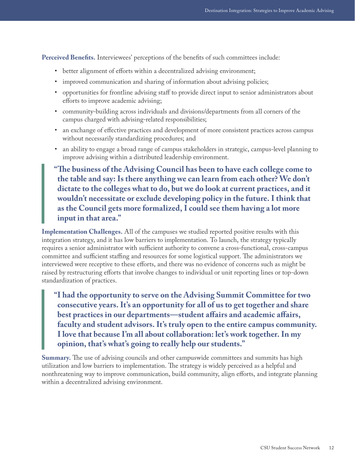Perceived Benefits. Interviewees' perceptions of the benefits of such committees include:

- better alignment of efforts within a decentralized advising environment;
- improved communication and sharing of information about advising policies;
- opportunities for frontline advising staff to provide direct input to senior administrators about efforts to improve academic advising;
- community-building across individuals and divisions/departments from all corners of the campus charged with advising-related responsibilities;
- an exchange of effective practices and development of more consistent practices across campus without necessarily standardizing procedures; and
- an ability to engage a broad range of campus stakeholders in strategic, campus-level planning to improve advising within a distributed leadership environment.

**"The business of the Advising Council has been to have each college come to the table and say: Is there anything we can learn from each other? We don't dictate to the colleges what to do, but we do look at current practices, and it wouldn't necessitate or exclude developing policy in the future. I think that as the Council gets more formalized, I could see them having a lot more input in that area."**

**Implementation Challenges.** All of the campuses we studied reported positive results with this integration strategy, and it has low barriers to implementation. To launch, the strategy typically requires a senior administrator with sufficient authority to convene a cross-functional, cross-campus committee and sufficient staffing and resources for some logistical support. The administrators we interviewed were receptive to these efforts, and there was no evidence of concerns such as might be raised by restructuring efforts that involve changes to individual or unit reporting lines or top-down standardization of practices.

**"I had the opportunity to serve on the Advising Summit Committee for two consecutive years. It's an opportunity for all of us to get together and share best practices in our departments—student affairs and academic affairs, faculty and student advisors. It's truly open to the entire campus community. I love that because I'm all about collaboration: let's work together. In my opinion, that's what's going to really help our students."**

**Summary.** The use of advising councils and other campuswide committees and summits has high utilization and low barriers to implementation. The strategy is widely perceived as a helpful and nonthreatening way to improve communication, build community, align efforts, and integrate planning within a decentralized advising environment.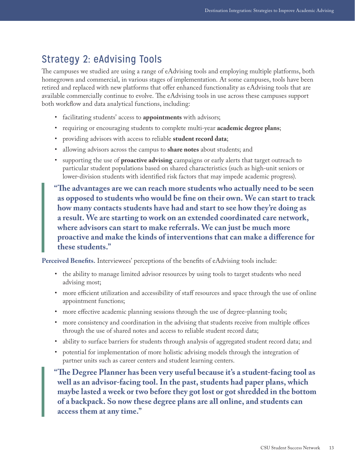## Strategy 2: eAdvising Tools

The campuses we studied are using a range of eAdvising tools and employing multiple platforms, both homegrown and commercial, in various stages of implementation. At some campuses, tools have been retired and replaced with new platforms that offer enhanced functionality as eAdvising tools that are available commercially continue to evolve. The eAdvising tools in use across these campuses support both workflow and data analytical functions, including:

- facilitating students' access to **appointments** with advisors;
- requiring or encouraging students to complete multi-year **academic degree plans**;
- providing advisors with access to reliable **student record data**;
- allowing advisors across the campus to **share notes** about students; and
- supporting the use of **proactive advising** campaigns or early alerts that target outreach to particular student populations based on shared characteristics (such as high-unit seniors or lower-division students with identified risk factors that may impede academic progress).

**"The advantages are we can reach more students who actually need to be seen as opposed to students who would be fine on their own. We can start to track how many contacts students have had and start to see how they're doing as a result. We are starting to work on an extended coordinated care network, where advisors can start to make referrals. We can just be much more proactive and make the kinds of interventions that can make a difference for these students."** 

Perceived Benefits. Interviewees' perceptions of the benefits of eAdvising tools include:

- the ability to manage limited advisor resources by using tools to target students who need advising most;
- more efficient utilization and accessibility of staff resources and space through the use of online appointment functions;
- more effective academic planning sessions through the use of degree-planning tools;
- more consistency and coordination in the advising that students receive from multiple offices through the use of shared notes and access to reliable student record data;
- ability to surface barriers for students through analysis of aggregated student record data; and
- potential for implementation of more holistic advising models through the integration of partner units such as career centers and student learning centers.
- **"The Degree Planner has been very useful because it's a student-facing tool as well as an advisor-facing tool. In the past, students had paper plans, which maybe lasted a week or two before they got lost or got shredded in the bottom of a backpack. So now these degree plans are all online, and students can access them at any time."**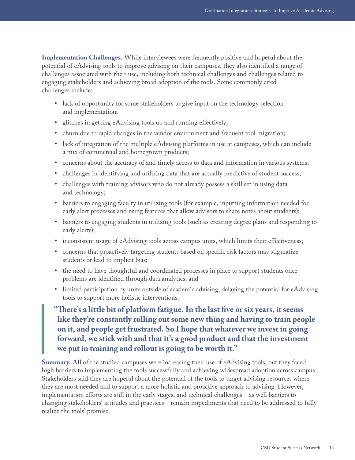**Implementation Challenges.** While interviewees were frequently positive and hopeful about the potential of eAdvising tools to improve advising on their campuses, they also identified a range of challenges associated with their use, including both technical challenges and challenges related to engaging stakeholders and achieving broad adoption of the tools. Some commonly cited challenges include:

- lack of opportunity for some stakeholders to give input on the technology selection and implementation;
- glitches in getting eAdvising tools up and running effectively;
- churn due to rapid changes in the vendor environment and frequent tool migration;
- lack of integration of the multiple eAdvising platforms in use at campuses, which can include a mix of commercial and homegrown products;
- concerns about the accuracy of and timely access to data and information in various systems;
- challenges in identifying and utilizing data that are actually predictive of student success;
- challenges with training advisors who do not already possess a skill set in using data and technology;
- barriers to engaging faculty in utilizing tools (for example, inputting information needed for early alert processes and using features that allow advisors to share notes about students);
- barriers to engaging students in utilizing tools (such as creating degree plans and responding to early alerts);
- inconsistent usage of eAdvising tools across campus units, which limits their effectiveness;
- concerns that proactively targeting students based on specific risk factors may stigmatize students or lead to implicit bias;
- the need to have thoughtful and coordinated processes in place to support students once problems are identified through data analytics; and
- limited participation by units outside of academic advising, delaying the potential for eAdvising tools to support more holistic interventions.
- **"There's a little bit of platform fatigue. In the last five or six years, it seems like they're constantly rolling out some new thing and having to train people on it, and people get frustrated. So I hope that whatever we invest in going forward, we stick with and that it's a good product and that the investment we put in training and rollout is going to be worth it."**

**Summary.** All of the studied campuses were increasing their use of eAdvising tools, but they faced high barriers to implementing the tools successfully and achieving widespread adoption across campus. Stakeholders said they are hopeful about the potential of the tools to target advising resources where they are most needed and to support a more holistic and proactive approach to advising. However, implementation efforts are still in the early stages, and technical challenges—as well barriers to changing stakeholders' attitudes and practices—remain impediments that need to be addressed to fully realize the tools' promise.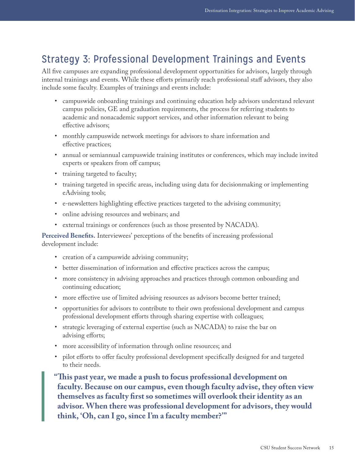## Strategy 3: Professional Development Trainings and Events

All five campuses are expanding professional development opportunities for advisors, largely through internal trainings and events. While these efforts primarily reach professional staff advisors, they also include some faculty. Examples of trainings and events include:

- campuswide onboarding trainings and continuing education help advisors understand relevant campus policies, GE and graduation requirements, the process for referring students to academic and nonacademic support services, and other information relevant to being effective advisors;
- monthly campuswide network meetings for advisors to share information and effective practices;
- annual or semiannual campuswide training institutes or conferences, which may include invited experts or speakers from off campus;
- training targeted to faculty;
- training targeted in specific areas, including using data for decisionmaking or implementing eAdvising tools;
- e-newsletters highlighting effective practices targeted to the advising community;
- online advising resources and webinars; and
- external trainings or conferences (such as those presented by NACADA).

**Perceived Benefits.** Interviewees' perceptions of the benefits of increasing professional development include:

- creation of a campuswide advising community;
- better dissemination of information and effective practices across the campus;
- more consistency in advising approaches and practices through common onboarding and continuing education;
- more effective use of limited advising resources as advisors become better trained;
- opportunities for advisors to contribute to their own professional development and campus professional development efforts through sharing expertise with colleagues;
- strategic leveraging of external expertise (such as NACADA) to raise the bar on advising efforts;
- more accessibility of information through online resources; and
- pilot efforts to offer faculty professional development specifically designed for and targeted to their needs.

**"This past year, we made a push to focus professional development on faculty. Because on our campus, even though faculty advise, they often view themselves as faculty first so sometimes will overlook their identity as an advisor. When there was professional development for advisors, they would think, 'Oh, can I go, since I'm a faculty member?'"**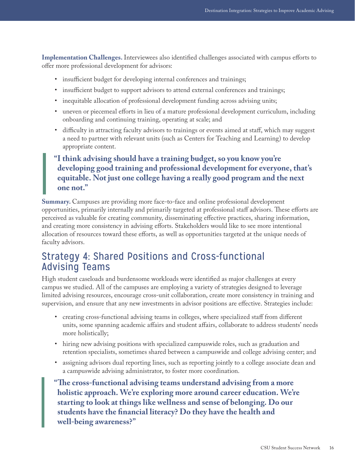**Implementation Challenges.** Interviewees also identified challenges associated with campus efforts to offer more professional development for advisors:

- insufficient budget for developing internal conferences and trainings;
- insufficient budget to support advisors to attend external conferences and trainings;
- inequitable allocation of professional development funding across advising units;
- uneven or piecemeal efforts in lieu of a mature professional development curriculum, including onboarding and continuing training, operating at scale; and
- difficulty in attracting faculty advisors to trainings or events aimed at staff, which may suggest a need to partner with relevant units (such as Centers for Teaching and Learning) to develop appropriate content.

### **"I think advising should have a training budget, so you know you're developing good training and professional development for everyone, that's equitable. Not just one college having a really good program and the next one not."**

**Summary.** Campuses are providing more face-to-face and online professional development opportunities, primarily internally and primarily targeted at professional staff advisors. These efforts are perceived as valuable for creating community, disseminating effective practices, sharing information, and creating more consistency in advising efforts. Stakeholders would like to see more intentional allocation of resources toward these efforts, as well as opportunities targeted at the unique needs of faculty advisors.

### Strategy 4: Shared Positions and Cross-functional Advising Teams

High student caseloads and burdensome workloads were identified as major challenges at every campus we studied. All of the campuses are employing a variety of strategies designed to leverage limited advising resources, encourage cross-unit collaboration, create more consistency in training and supervision, and ensure that any new investments in advisor positions are effective. Strategies include:

- creating cross-functional advising teams in colleges, where specialized staff from different units, some spanning academic affairs and student affairs, collaborate to address students' needs more holistically;
- hiring new advising positions with specialized campuswide roles, such as graduation and retention specialists, sometimes shared between a campuswide and college advising center; and
- assigning advisors dual reporting lines, such as reporting jointly to a college associate dean and a campuswide advising administrator, to foster more coordination.
- **"The cross-functional advising teams understand advising from a more holistic approach. We're exploring more around career education. We're starting to look at things like wellness and sense of belonging. Do our students have the financial literacy? Do they have the health and well-being awareness?"**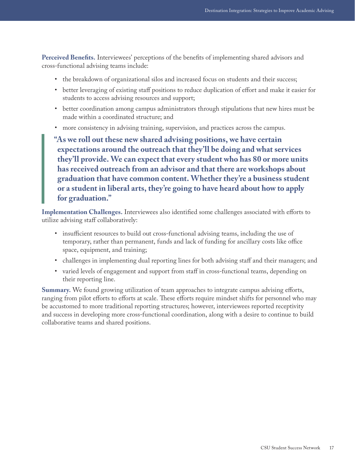**Perceived Benefits.** Interviewees' perceptions of the benefits of implementing shared advisors and cross-functional advising teams include:

- the breakdown of organizational silos and increased focus on students and their success;
- better leveraging of existing staff positions to reduce duplication of effort and make it easier for students to access advising resources and support;
- better coordination among campus administrators through stipulations that new hires must be made within a coordinated structure; and
- more consistency in advising training, supervision, and practices across the campus.

**"As we roll out these new shared advising positions, we have certain expectations around the outreach that they'll be doing and what services they'll provide. We can expect that every student who has 80 or more units has received outreach from an advisor and that there are workshops about graduation that have common content. Whether they're a business student or a student in liberal arts, they're going to have heard about how to apply for graduation."**

**Implementation Challenges.** Interviewees also identified some challenges associated with efforts to utilize advising staff collaboratively:

- insufficient resources to build out cross-functional advising teams, including the use of temporary, rather than permanent, funds and lack of funding for ancillary costs like office space, equipment, and training;
- challenges in implementing dual reporting lines for both advising staff and their managers; and
- varied levels of engagement and support from staff in cross-functional teams, depending on their reporting line.

**Summary.** We found growing utilization of team approaches to integrate campus advising efforts, ranging from pilot efforts to efforts at scale. These efforts require mindset shifts for personnel who may be accustomed to more traditional reporting structures; however, interviewees reported receptivity and success in developing more cross-functional coordination, along with a desire to continue to build collaborative teams and shared positions.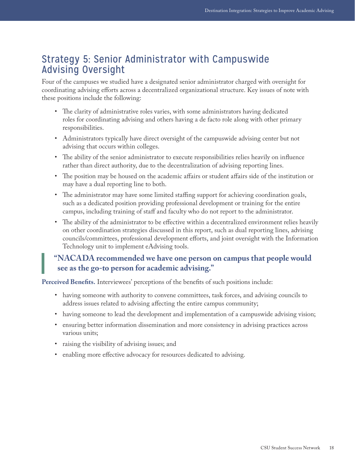### Strategy 5: Senior Administrator with Campuswide Advising Oversight

Four of the campuses we studied have a designated senior administrator charged with oversight for coordinating advising efforts across a decentralized organizational structure. Key issues of note with these positions include the following:

- The clarity of administrative roles varies, with some administrators having dedicated roles for coordinating advising and others having a de facto role along with other primary responsibilities.
- Administrators typically have direct oversight of the campuswide advising center but not advising that occurs within colleges.
- The ability of the senior administrator to execute responsibilities relies heavily on influence rather than direct authority, due to the decentralization of advising reporting lines.
- The position may be housed on the academic affairs or student affairs side of the institution or may have a dual reporting line to both.
- The administrator may have some limited staffing support for achieving coordination goals, such as a dedicated position providing professional development or training for the entire campus, including training of staff and faculty who do not report to the administrator.
- The ability of the administrator to be effective within a decentralized environment relies heavily on other coordination strategies discussed in this report, such as dual reporting lines, advising councils/committees, professional development efforts, and joint oversight with the Information Technology unit to implement eAdvising tools.

### **"NACADA recommended we have one person on campus that people would see as the go-to person for academic advising."**

**Perceived Benefits.** Interviewees' perceptions of the benefits of such positions include:

- having someone with authority to convene committees, task forces, and advising councils to address issues related to advising affecting the entire campus community;
- having someone to lead the development and implementation of a campuswide advising vision;
- ensuring better information dissemination and more consistency in advising practices across various units;
- raising the visibility of advising issues; and
- enabling more effective advocacy for resources dedicated to advising.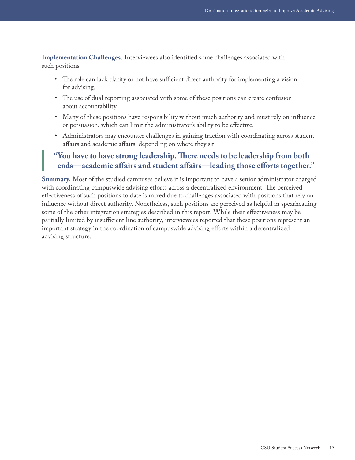**Implementation Challenges.** Interviewees also identified some challenges associated with such positions:

- The role can lack clarity or not have sufficient direct authority for implementing a vision for advising.
- The use of dual reporting associated with some of these positions can create confusion about accountability.
- Many of these positions have responsibility without much authority and must rely on influence or persuasion, which can limit the administrator's ability to be effective.
- Administrators may encounter challenges in gaining traction with coordinating across student affairs and academic affairs, depending on where they sit.

### **"You have to have strong leadership. There needs to be leadership from both ends—academic affairs and student affairs—leading those efforts together."**

**Summary.** Most of the studied campuses believe it is important to have a senior administrator charged with coordinating campuswide advising efforts across a decentralized environment. The perceived effectiveness of such positions to date is mixed due to challenges associated with positions that rely on influence without direct authority. Nonetheless, such positions are perceived as helpful in spearheading some of the other integration strategies described in this report. While their effectiveness may be partially limited by insufficient line authority, interviewees reported that these positions represent an important strategy in the coordination of campuswide advising efforts within a decentralized advising structure.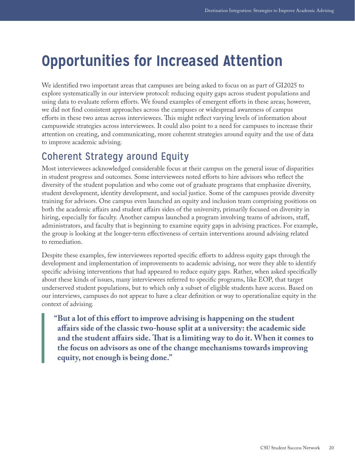# <span id="page-20-0"></span>**Opportunities for Increased Attention**

We identified two important areas that campuses are being asked to focus on as part of GI2025 to explore systematically in our interview protocol: reducing equity gaps across student populations and using data to evaluate reform efforts. We found examples of emergent efforts in these areas; however, we did not find consistent approaches across the campuses or widespread awareness of campus efforts in these two areas across interviewees. This might reflect varying levels of information about campuswide strategies across interviewees. It could also point to a need for campuses to increase their attention on creating, and communicating, more coherent strategies around equity and the use of data to improve academic advising.

## Coherent Strategy around Equity

Most interviewees acknowledged considerable focus at their campus on the general issue of disparities in student progress and outcomes. Some interviewees noted efforts to hire advisors who reflect the diversity of the student population and who come out of graduate programs that emphasize diversity, student development, identity development, and social justice. Some of the campuses provide diversity training for advisors. One campus even launched an equity and inclusion team comprising positions on both the academic affairs and student affairs sides of the university, primarily focused on diversity in hiring, especially for faculty. Another campus launched a program involving teams of advisors, staff, administrators, and faculty that is beginning to examine equity gaps in advising practices. For example, the group is looking at the longer-term effectiveness of certain interventions around advising related to remediation.

Despite these examples, few interviewees reported specific efforts to address equity gaps through the development and implementation of improvements to academic advising, nor were they able to identify specific advising interventions that had appeared to reduce equity gaps. Rather, when asked specifically about these kinds of issues, many interviewees referred to specific programs, like EOP, that target underserved student populations, but to which only a subset of eligible students have access. Based on our interviews, campuses do not appear to have a clear definition or way to operationalize equity in the context of advising.

**"But a lot of this effort to improve advising is happening on the student affairs side of the classic two-house split at a university: the academic side and the student affairs side. That is a limiting way to do it. When it comes to the focus on advisors as one of the change mechanisms towards improving equity, not enough is being done."**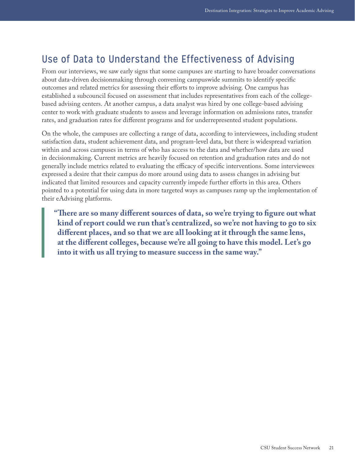### Use of Data to Understand the Effectiveness of Advising

From our interviews, we saw early signs that some campuses are starting to have broader conversations about data-driven decisionmaking through convening campuswide summits to identify specific outcomes and related metrics for assessing their efforts to improve advising. One campus has established a subcouncil focused on assessment that includes representatives from each of the collegebased advising centers. At another campus, a data analyst was hired by one college-based advising center to work with graduate students to assess and leverage information on admissions rates, transfer rates, and graduation rates for different programs and for underrepresented student populations.

On the whole, the campuses are collecting a range of data, according to interviewees, including student satisfaction data, student achievement data, and program-level data, but there is widespread variation within and across campuses in terms of who has access to the data and whether/how data are used in decisionmaking. Current metrics are heavily focused on retention and graduation rates and do not generally include metrics related to evaluating the efficacy of specific interventions. Some interviewees expressed a desire that their campus do more around using data to assess changes in advising but indicated that limited resources and capacity currently impede further efforts in this area. Others pointed to a potential for using data in more targeted ways as campuses ramp up the implementation of their eAdvising platforms.

**"There are so many different sources of data, so we're trying to figure out what kind of report could we run that's centralized, so we're not having to go to six different places, and so that we are all looking at it through the same lens, at the different colleges, because we're all going to have this model. Let's go into it with us all trying to measure success in the same way."**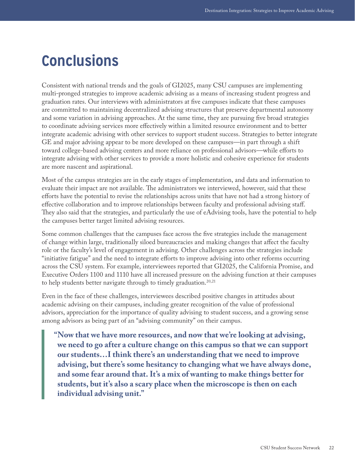# <span id="page-22-0"></span>**Conclusions**

Consistent with national trends and the goals of GI2025, many CSU campuses are implementing multi-pronged strategies to improve academic advising as a means of increasing student progress and graduation rates. Our interviews with administrators at five campuses indicate that these campuses are committed to maintaining decentralized advising structures that preserve departmental autonomy and some variation in advising approaches. At the same time, they are pursuing five broad strategies to coordinate advising services more effectively within a limited resource environment and to better integrate academic advising with other services to support student success. Strategies to better integrate GE and major advising appear to be more developed on these campuses—in part through a shift toward college-based advising centers and more reliance on professional advisors—while efforts to integrate advising with other services to provide a more holistic and cohesive experience for students are more nascent and aspirational.

Most of the campus strategies are in the early stages of implementation, and data and information to evaluate their impact are not available. The administrators we interviewed, however, said that these efforts have the potential to revise the relationships across units that have not had a strong history of effective collaboration and to improve relationships between faculty and professional advising staff. They also said that the strategies, and particularly the use of eAdvising tools, have the potential to help the campuses better target limited advising resources.

Some common challenges that the campuses face across the five strategies include the management of change within large, traditionally siloed bureaucracies and making changes that affect the faculty role or the faculty's level of engagement in advising. Other challenges across the strategies include "initiative fatigue" and the need to integrate efforts to improve advising into other reforms occurring across the CSU system. For example, interviewees reported that GI2025, the California Promise, and Executive Orders 1100 and 1110 have all increased pressure on the advising function at their campuses to help students better navigate through to timely graduation.<sup>20[,21](#page-29-6)</sup>

Even in the face of these challenges, interviewees described positive changes in attitudes about academic advising on their campuses, including greater recognition of the value of professional advisors, appreciation for the importance of quality advising to student success, and a growing sense among advisors as being part of an "advising community" on their campus.

**"Now that we have more resources, and now that we're looking at advising, we need to go after a culture change on this campus so that we can support our students…I think there's an understanding that we need to improve advising, but there's some hesitancy to changing what we have always done, and some fear around that. It's a mix of wanting to make things better for students, but it's also a scary place when the microscope is then on each individual advising unit."**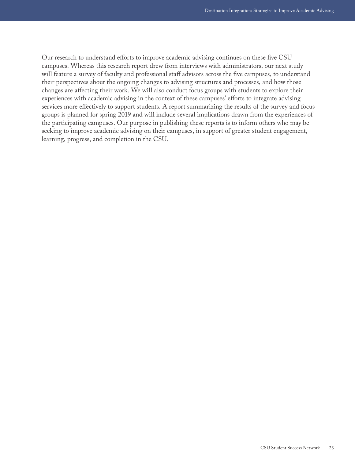Our research to understand efforts to improve academic advising continues on these five CSU campuses. Whereas this research report drew from interviews with administrators, our next study will feature a survey of faculty and professional staff advisors across the five campuses, to understand their perspectives about the ongoing changes to advising structures and processes, and how those changes are affecting their work. We will also conduct focus groups with students to explore their experiences with academic advising in the context of these campuses' efforts to integrate advising services more effectively to support students. A report summarizing the results of the survey and focus groups is planned for spring 2019 and will include several implications drawn from the experiences of the participating campuses. Our purpose in publishing these reports is to inform others who may be seeking to improve academic advising on their campuses, in support of greater student engagement, learning, progress, and completion in the CSU.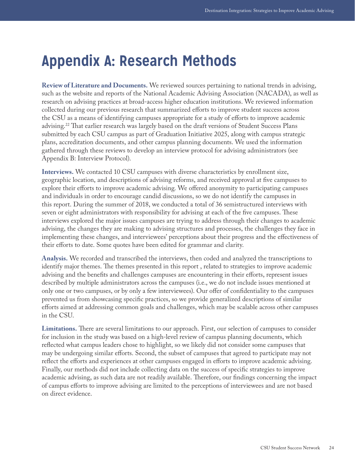## <span id="page-24-0"></span>**Appendix A: Research Methods**

**Review of Literature and Documents.** We reviewed sources pertaining to national trends in advising, such as the website and reports of the National Academic Advising Association (NACADA), as well as research on advising practices at broad-access higher education institutions. We reviewed information collected during our previous research that summarized efforts to improve student success across the CSU as a means of identifying campuses appropriate for a study of efforts to improve academic advising.[22](#page-29-7) That earlier research was largely based on the draft versions of Student Success Plans submitted by each CSU campus as part of Graduation Initiative 2025, along with campus strategic plans, accreditation documents, and other campus planning documents. We used the information gathered through these reviews to develop an interview protocol for advising administrators (see Appendix B: Interview Protocol).

**Interviews.** We contacted 10 CSU campuses with diverse characteristics by enrollment size, geographic location, and descriptions of advising reforms, and received approval at five campuses to explore their efforts to improve academic advising. We offered anonymity to participating campuses and individuals in order to encourage candid discussions, so we do not identify the campuses in this report. During the summer of 2018, we conducted a total of 36 semistructured interviews with seven or eight administrators with responsibility for advising at each of the five campuses. These interviews explored the major issues campuses are trying to address through their changes to academic advising, the changes they are making to advising structures and processes, the challenges they face in implementing these changes, and interviewees' perceptions about their progress and the effectiveness of their efforts to date. Some quotes have been edited for grammar and clarity.

**Analysis.** We recorded and transcribed the interviews, then coded and analyzed the transcriptions to identify major themes. The themes presented in this report , related to strategies to improve academic advising and the benefits and challenges campuses are encountering in their efforts, represent issues described by multiple administrators across the campuses (i.e., we do not include issues mentioned at only one or two campuses, or by only a few interviewees). Our offer of confidentiality to the campuses prevented us from showcasing specific practices, so we provide generalized descriptions of similar efforts aimed at addressing common goals and challenges, which may be scalable across other campuses in the CSU.

**Limitations.** There are several limitations to our approach. First, our selection of campuses to consider for inclusion in the study was based on a high-level review of campus planning documents, which reflected what campus leaders chose to highlight, so we likely did not consider some campuses that may be undergoing similar efforts. Second, the subset of campuses that agreed to participate may not reflect the efforts and experiences at other campuses engaged in efforts to improve academic advising. Finally, our methods did not include collecting data on the success of specific strategies to improve academic advising, as such data are not readily available. Therefore, our findings concerning the impact of campus efforts to improve advising are limited to the perceptions of interviewees and are not based on direct evidence.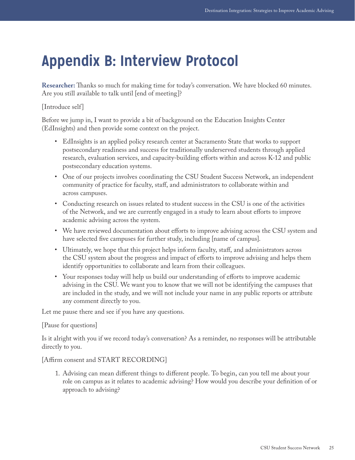# <span id="page-25-0"></span>**Appendix B: Interview Protocol**

**Researcher:** Thanks so much for making time for today's conversation. We have blocked 60 minutes. Are you still available to talk until [end of meeting]?

### [Introduce self]

Before we jump in, I want to provide a bit of background on the Education Insights Center (EdInsights) and then provide some context on the project.

- EdInsights is an applied policy research center at Sacramento State that works to support postsecondary readiness and success for traditionally underserved students through applied research, evaluation services, and capacity-building efforts within and across K-12 and public postsecondary education systems.
- One of our projects involves coordinating the CSU Student Success Network, an independent community of practice for faculty, staff, and administrators to collaborate within and across campuses.
- Conducting research on issues related to student success in the CSU is one of the activities of the Network, and we are currently engaged in a study to learn about efforts to improve academic advising across the system.
- We have reviewed documentation about efforts to improve advising across the CSU system and have selected five campuses for further study, including [name of campus].
- Ultimately, we hope that this project helps inform faculty, staff, and administrators across the CSU system about the progress and impact of efforts to improve advising and helps them identify opportunities to collaborate and learn from their colleagues.
- Your responses today will help us build our understanding of efforts to improve academic advising in the CSU. We want you to know that we will not be identifying the campuses that are included in the study, and we will not include your name in any public reports or attribute any comment directly to you.

Let me pause there and see if you have any questions.

#### [Pause for questions]

Is it alright with you if we record today's conversation? As a reminder, no responses will be attributable directly to you.

[Affirm consent and START RECORDING]

1. Advising can mean different things to different people. To begin, can you tell me about your role on campus as it relates to academic advising? How would you describe your definition of or approach to advising?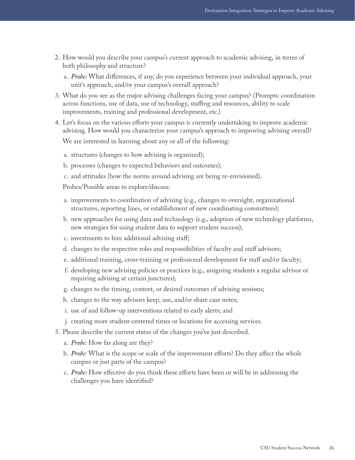- 2. How would you describe your campus's current approach to academic advising, in terms of both philosophy and structure?
	- a. *Probe:* What differences, if any, do you experience between your individual approach, your unit's approach, and/or your campus's overall approach?
- 3. What do you see as the major advising challenges facing your campus? (Prompts: coordination across functions, use of data, use of technology, staffing and resources, ability to scale improvements, training and professional development, etc.)
- 4. Let's focus on the various efforts your campus is currently undertaking to improve academic advising. How would you characterize your campus's approach to improving advising overall? We are interested in learning about any or all of the following:
	- a. structures (changes to how advising is organized);
	- b. processes (changes to expected behaviors and outcomes);
	- c. and attitudes (how the norms around advising are being re-envisioned).

Probes/Possible areas to explore/discuss:

- a. improvements to coordination of advising (e.g., changes to oversight, organizational structures, reporting lines, or establishment of new coordinating committees);
- b. new approaches for using data and technology (e.g., adoption of new technology platforms, new strategies for using student data to support student success);
- c. investments to hire additional advising staff;
- d. changes to the respective roles and responsibilities of faculty and staff advisors;
- e. additional training, cross-training or professional development for staff and/or faculty;
- f. developing new advising policies or practices (e.g., assigning students a regular advisor or requiring advising at certain junctures);
- g. changes to the timing, content, or desired outcomes of advising sessions;
- h. changes to the way advisors keep, use, and/or share case notes;
- i. use of and follow-up interventions related to early alerts; and
- j. creating more student-centered times or locations for accessing services.
- 5. Please describe the current status of the changes you've just described.
	- a. *Probe:* How far along are they?
	- b. *Probe:* What is the scope or scale of the improvement efforts? Do they affect the whole campus or just parts of the campus?
	- c. *Probe:* How effective do you think these efforts have been or will be in addressing the challenges you have identified?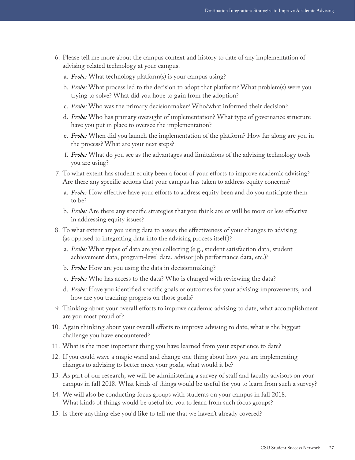- 6. Please tell me more about the campus context and history to date of any implementation of advising-related technology at your campus.
	- a. *Probe:* What technology platform(s) is your campus using?
	- b. *Probe:* What process led to the decision to adopt that platform? What problem(s) were you trying to solve? What did you hope to gain from the adoption?
	- c. *Probe:* Who was the primary decisionmaker? Who/what informed their decision?
	- d. *Probe:* Who has primary oversight of implementation? What type of governance structure have you put in place to oversee the implementation?
	- e. *Probe:* When did you launch the implementation of the platform? How far along are you in the process? What are your next steps?
	- f. *Probe:* What do you see as the advantages and limitations of the advising technology tools you are using?
- 7. To what extent has student equity been a focus of your efforts to improve academic advising? Are there any specific actions that your campus has taken to address equity concerns?
	- a. *Probe:* How effective have your efforts to address equity been and do you anticipate them to be?
	- b. *Probe:* Are there any specific strategies that you think are or will be more or less effective in addressing equity issues?
- 8. To what extent are you using data to assess the effectiveness of your changes to advising (as opposed to integrating data into the advising process itself)?
	- a. *Probe:* What types of data are you collecting (e.g., student satisfaction data, student achievement data, program-level data, advisor job performance data, etc.)?
	- b. *Probe:* How are you using the data in decisionmaking?
	- c. *Probe:* Who has access to the data? Who is charged with reviewing the data?
	- d. *Probe:* Have you identified specific goals or outcomes for your advising improvements, and how are you tracking progress on those goals?
- 9. Thinking about your overall efforts to improve academic advising to date, what accomplishment are you most proud of?
- 10. Again thinking about your overall efforts to improve advising to date, what is the biggest challenge you have encountered?
- 11. What is the most important thing you have learned from your experience to date?
- 12. If you could wave a magic wand and change one thing about how you are implementing changes to advising to better meet your goals, what would it be?
- 13. As part of our research, we will be administering a survey of staff and faculty advisors on your campus in fall 2018. What kinds of things would be useful for you to learn from such a survey?
- 14. We will also be conducting focus groups with students on your campus in fall 2018. What kinds of things would be useful for you to learn from such focus groups?
- 15. Is there anything else you'd like to tell me that we haven't already covered?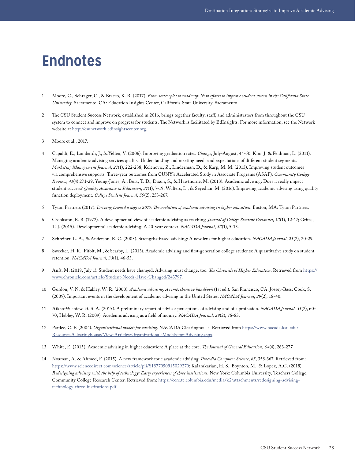## <span id="page-28-0"></span>**Endnotes**

- <span id="page-28-1"></span>1 Moore, C., Schrager, C., & Bracco, K. R. (2017). *From scatterplot to roadmap: New efforts to improve student success in the California State University.* Sacramento, CA: Education Insights Center, California State University, Sacramento.
- <span id="page-28-2"></span>2 The CSU Student Success Network, established in 2016, brings together faculty, staff, and administrators from throughout the CSU system to connect and improve on progress for students. The Network is facilitated by EdInsights. For more information, see the Network website at [http://csunetwork.edinsightscenter.org.](http://csunetwork.edinsightscenter.org)
- <span id="page-28-8"></span>3 Moore et al., 2017.
- <span id="page-28-3"></span>4 Capaldi, E., Lombardi, J., & Yellen, V. (2006). Improving graduation rates. *Change*, July-August, 44-50; Kim, J. & Feldman, L. (2011). Managing academic advising services quality: Understanding and meeting needs and expectations of different student segments. *Marketing Management Journal*, *27*(1), 222-238; Kolenovic, Z., Linderman, D., & Karp, M. M. (2013). Improving student outcomes via comprehensive supports: Three-year outcomes from CUNY's Accelerated Study in Associate Programs (ASAP). *Community College Review*, *41*(4) 271-29; Young-Jones, A., Burt, T. D., Dixon, S., & Hawthorne, M. (2013). Academic advising: Does it really impact student success? *Quality Assurance in Education*, *21*(1), 7-19; Walters, L., & Seyedian, M. (2016). Improving academic advising using quality function deployment. *College Student Journal*, *50*(2), 253-267.
- <span id="page-28-4"></span>5 Tyton Partners (2017). *Driving toward a degree 2017: The evolution of academic advising in higher education*. Boston, MA: Tyton Partners.
- <span id="page-28-5"></span>6 Crookston, B. B. (1972). A developmental view of academic advising as teaching. *Journal of College Student Personnel*, *13*(1), 12-17; Grites, T. J. (2015). Developmental academic advising: A 40-year context. *NACADA Journal*, *33*(1), 5-15.
- <span id="page-28-6"></span>7 Schreiner, L. A., & Anderson, E. C. (2005). Strengths-based advising: A new lens for higher education. *NACADA Journal*, *25*(2), 20-29.
- <span id="page-28-7"></span>8 Swecker, H. K., Fifolt, M., & Searby, L. (2013). Academic advising and first-generation college students: A quantitative study on student retention. *NACADA Journal*, *33*(1), 46-53.
- <span id="page-28-9"></span>9 Anft, M. (2018, July 1). Student needs have changed. Advising must change, too. *The Chronicle of Higher Education*. Retrieved from [https://](https://www.chronicle.com/article/Student-Needs-Have-Changed/243797) [www.chronicle.com/article/Student-Needs-Have-Changed/243797](https://www.chronicle.com/article/Student-Needs-Have-Changed/243797).
- <span id="page-28-10"></span>10 Gordon, V. N. & Habley, W. R. (2000). *Academic advising: A comprehensive handbook* (1st ed.). San Francisco, CA: Jossey-Bass; Cook, S. (2009). Important events in the development of academic advising in the United States. *NACADA Journal*, *29*(2), 18-40.
- <span id="page-28-11"></span>11 Aiken-Wisniewski, S. A. (2015). A preliminary report of advisor perceptions of advising and of a profession. *NACADA Journal*, *35*(2), 60- 70; Habley, W. R. (2009). Academic advising as a field of inquiry. *NACADA Journal*, *29*(2), 76-83.
- <span id="page-28-12"></span>12 Pardee, C. F. (2004). *Organizational models for advising*. NACADA Clearinghouse. Retrieved from [https://www.nacada.ksu.edu/](https://www.nacada.ksu.edu/Resources/Clearinghouse/View-Articles/Organizational-Models-for-Advising.aspx) [Resources/Clearinghouse/View-Articles/Organizational-Models-for-Advising.aspx](https://www.nacada.ksu.edu/Resources/Clearinghouse/View-Articles/Organizational-Models-for-Advising.aspx).
- <span id="page-28-13"></span>13 White, E. (2015). Academic advising in higher education: A place at the core. *The Journal of General Education*, *64*(4), 263-277.
- <span id="page-28-14"></span>14 Noaman, A. & Ahmed, F. (2015). A new framework for e academic advising. *Procedia Computer Science*, *65*, 358-367. Retrieved from: <https://www.sciencedirect.com/science/article/pii/S1877050915029270>; Kalamkarian, H. S., Boynton, M., & Lopez, A.G. (2018). *Redesigning advising with the help of technology: Early experiences of three institutions*. New York: Columbia University, Teachers College, Community College Research Center. Retrieved from: [https://ccrc.tc.columbia.edu/media/k2/attachments/redesigning-advising](https://ccrc.tc.columbia.edu/media/k2/attachments/redesigning-advising-technology-three-institutions.pdf)[technology-three-institutions.pdf.](https://ccrc.tc.columbia.edu/media/k2/attachments/redesigning-advising-technology-three-institutions.pdf)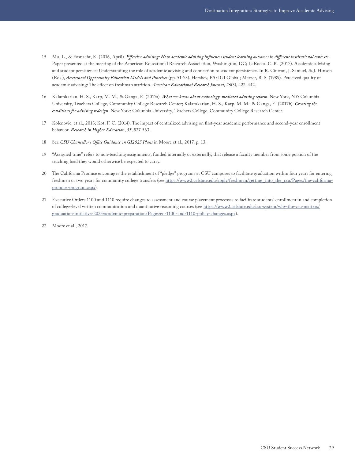- <span id="page-29-0"></span>15 Mu, L., & Fosnacht, K. (2016, April). *Effective advising: How academic advising influences student learning outcomes in different institutional contexts*. Paper presented at the meeting of the American Educational Research Association, Washington, DC; LaRocca, C. K. (2017). Academic advising and student persistence: Understanding the role of academic advising and connection to student persistence. In R. Cintron, J. Samuel, & J. Hinson (Eds.), *Accelerated Opportunity Education Models and Practices* (pp. 51-73). Hershey, PA: IGI Global; Metzer, B. S. (1989). Perceived quality of academic advising: The effect on freshman attrition. *American Educational Research Journal*, *26*(3), 422-442.
- <span id="page-29-1"></span>16 Kalamkarian, H. S., Karp, M. M., & Ganga, E. (2017a). *What we know about technology-mediated advising reform*. New York, NY: Columbia University, Teachers College, Community College Research Center; Kalamkarian, H. S., Karp, M. M., & Ganga, E. (2017b). *Creating the conditions for advising redesign*. New York: Columbia University, Teachers College, Community College Research Center.
- <span id="page-29-2"></span>17 Kolenovic, et al., 2013; Kot, F. C. (2014). The impact of centralized advising on first-year academic performance and second-year enrollment behavior. *Research in Higher Education*, *55*, 527-563.
- <span id="page-29-3"></span>18 See *CSU Chancellor's Office Guidance on GI2025 Plans* in Moore et al., 2017, p. 13.
- <span id="page-29-4"></span>19 "Assigned time" refers to non-teaching assignments, funded internally or externally, that release a faculty member from some portion of the teaching load they would otherwise be expected to carry.
- <span id="page-29-5"></span>20 The California Promise encourages the establishment of "pledge" programs at CSU campuses to facilitate graduation within four years for entering freshmen or two years for community college transfers (see [https://www2.calstate.edu/apply/freshman/getting\\_into\\_the\\_csu/Pages/the-california](https://www2.calstate.edu/apply/freshman/getting_into_the_csu/Pages/the-california-promise-program.aspx)[promise-program.aspx](https://www2.calstate.edu/apply/freshman/getting_into_the_csu/Pages/the-california-promise-program.aspx)).
- <span id="page-29-6"></span>21 Executive Orders 1100 and 1110 require changes to assessment and course placement processes to facilitate students' enrollment in and completion of college-level written communication and quantitative reasoning courses (see [https://www2.calstate.edu/csu-system/why-the-csu-matters/](https://www2.calstate.edu/csu-system/why-the-csu-matters/graduation-initiative-2025/academic-preparation/Pages/eo-1100-and-1110-policy-changes.aspx) [graduation-initiative-2025/academic-preparation/Pages/eo-1100-and-1110-policy-changes.aspx](https://www2.calstate.edu/csu-system/why-the-csu-matters/graduation-initiative-2025/academic-preparation/Pages/eo-1100-and-1110-policy-changes.aspx)).
- <span id="page-29-7"></span>22 Moore et al., 2017.